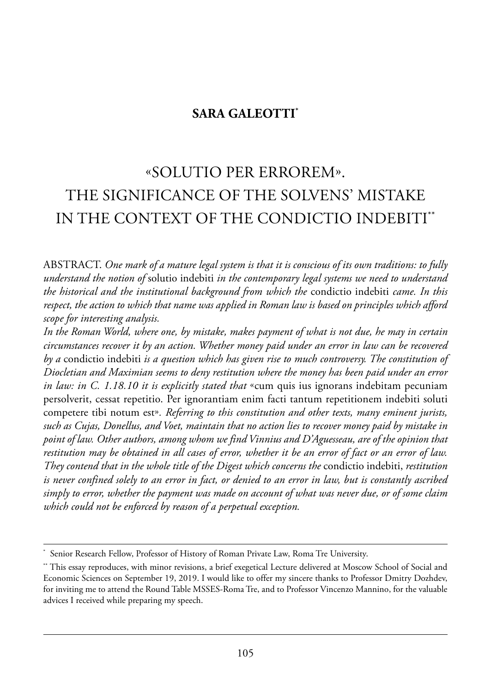# **SARA GALEOTTI\***

# «solutio per errorem». the siGnifiCanCe of the solVens' mistake in the ConteXt of the CondiCtio indeBiti\*\*

aBstraCt. *One mark of a mature legal system is that it is conscious of its own traditions: to fully understand the notion of* solutio indebiti *in the contemporary legal systems we need to understand the historical and the institutional background from which the* condictio indebiti *came. In this respect, the action to which that name was applied in Roman law is based on principles which afford scope for interesting analysis.* 

*In the Roman World, where one, by mistake, makes payment of what is not due, he may in certain circumstances recover it by an action. Whether money paid under an error in law can be recovered by a* condictio indebiti *is a question which has given rise to much controversy. The constitution of Diocletian and Maximian seems to deny restitution where the money has been paid under an error in law: in C. 1.18.10 it is explicitly stated that* «cum quis ius ignorans indebitam pecuniam persolverit, cessat repetitio. per ignorantiam enim facti tantum repetitionem indebiti soluti competere tibi notum est»*. Referring to this constitution and other texts, many eminent jurists, such as Cujas, Donellus, and Voet, maintain that no action lies to recover money paid by mistake in point of law. Other authors, among whom we find Vinnius and D'Aguesseau, are of the opinion that restitution may be obtained in all cases of error, whether it be an error of fact or an error of law. They contend that in the whole title of the Digest which concerns the* condictio indebiti, *restitution is never confined solely to an error in fact, or denied to an error in law, but is constantly ascribed simply to error, whether the payment was made on account of what was never due, or of some claim which could not be enforced by reason of a perpetual exception.* 

Senior Research Fellow, Professor of History of Roman Private Law, Roma Tre University.

<sup>\*\*</sup> this essay reproduces, with minor revisions, a brief exegetical lecture delivered at moscow school of social and Economic Sciences on September 19, 2019. I would like to offer my sincere thanks to Professor Dmitry Dozhdev, for inviting me to attend the Round Table MSSES-Roma Tre, and to Professor Vincenzo Mannino, for the valuable advices I received while preparing my speech.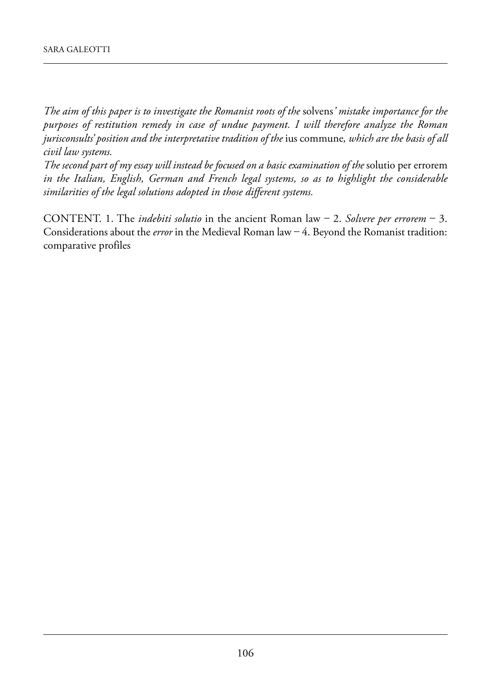*The aim of this paper is to investigate the Romanist roots of the* solvens*' mistake importance for the purposes of restitution remedy in case of undue payment. I will therefore analyze the Roman jurisconsults' position and the interpretative tradition of the* ius commune*, which are the basis of all civil law systems.* 

*The second part of my essay will instead be focused on a basic examination of the* solutio per errorem *in the Italian, English, German and French legal systems, so as to highlight the considerable similarities of the legal solutions adopted in those different systems.*

CONTENT. 1. The *indebiti solutio* in the ancient Roman law  $-$  2. *Solvere per errorem*  $-$  3. Considerations about the *error* in the Medieval Roman law  $-4$ . Beyond the Romanist tradition: comparative profiles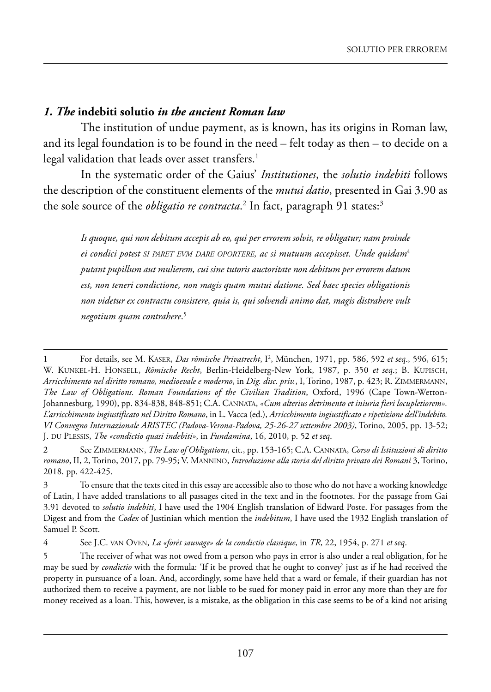# *1. The* **indebiti solutio** *in the ancient Roman law*

The institution of undue payment, as is known, has its origins in Roman law, and its legal foundation is to be found in the need – felt today as then – to decide on a legal validation that leads over asset transfers.<sup>1</sup>

in the systematic order of the Gaius' *Institutiones*, the *solutio indebiti* follows the description of the constituent elements of the *mutui datio*, presented in Gai 3.90 as the sole source of the *obligatio re contracta*.<sup>2</sup> In fact, paragraph 91 states:<sup>3</sup>

*Is quoque, qui non debitum accepit ab eo, qui per errorem solvit, re obligatur; nam proinde ei condici potest SI PARET EVM DARE OPORTERE, ac si mutuum accepisset. Unde quidam*<sup>4</sup> *putant pupillum aut mulierem, cui sine tutoris auctoritate non debitum per errorem datum est, non teneri condictione, non magis quam mutui datione. Sed haec species obligationis non videtur ex contractu consistere, quia is, qui solvendi animo dat, magis distrahere vult negotium quam contrahere*. 5

<sup>1</sup> For details, see M. KASER, *Das römische Privatrecht*, I<sup>2</sup>, München, 1971, pp. 586, 592 *et seq.*, 596, 615; w. kunkel-h. honsell, *Römische Recht*, Berlin-heidelberg-new York, 1987, p. 350 *et seq*.; B. kupisCh, *Arricchimento nel diritto romano, medioevale e moderno*, in *Dig. disc. priv.*, i, torino, 1987, p. 423; r. Zimmermann, The Law of Obligations. Roman Foundations of the Civilian Tradition, Oxford, 1996 (Cape Town-Wetton-Johannesburg, 1990), pp. 834-838, 848-851; C.a. Cannata, *«Cum alterius detrimento et iniuria fieri locupletiorem». L'arricchimento ingiustificato nel Diritto Romano*, in l. Vacca (ed.), *Arricchimento ingiustificato e ripetizione dell'indebito. VI Convegno Internazionale ARISTEC (Padova-Verona-Padova, 25-26-27 settembre 2003)*, torino, 2005, pp. 13-52; J. du plessis, *The «condictio quasi indebiti»*, in *Fundamina*, 16, 2010, p. 52 *et seq*.

<sup>2</sup> see Zimmermann, *The Law of Obligations*, cit., pp. 153-165; C.a. Cannata, *Corso di Istituzioni di diritto romano*, ii, 2, torino, 2017, pp. 79-95; V. mannino, *Introduzione alla storia del diritto privato dei Romani* 3, torino, 2018, pp. 422-425.

<sup>3</sup> to ensure that the texts cited in this essay are accessible also to those who do not have a working knowledge of latin, i have added translations to all passages cited in the text and in the footnotes. for the passage from Gai 3.91 devoted to *solutio indebiti*, i have used the 1904 english translation of edward poste. for passages from the Digest and from the *Codex* of Justinian which mention the *indebitum*, I have used the 1932 English translation of Samuel P. Scott.

<sup>4</sup> see J.C. Van oVen, *La «forêt sauvage» de la condictio classique*, in *TR*, 22, 1954, p. 271 *et seq*.

<sup>5</sup> The receiver of what was not owed from a person who pays in error is also under a real obligation, for he may be sued by *condictio* with the formula: 'if it be proved that he ought to convey' just as if he had received the property in pursuance of a loan. And, accordingly, some have held that a ward or female, if their guardian has not authorized them to receive a payment, are not liable to be sued for money paid in error any more than they are for money received as a loan. This, however, is a mistake, as the obligation in this case seems to be of a kind not arising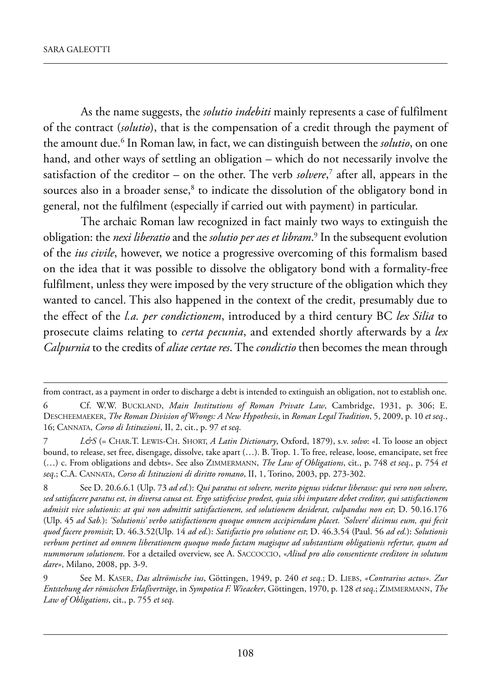as the name suggests, the *solutio indebiti* mainly represents a case of fulfilment of the contract (*solutio*), that is the compensation of a credit through the payment of the amount due.<sup>6</sup> In Roman law, in fact, we can distinguish between the *solutio*, on one hand, and other ways of settling an obligation – which do not necessarily involve the satisfaction of the creditor – on the other. the verb *solvere*, <sup>7</sup> after all, appears in the sources also in a broader sense,<sup>8</sup> to indicate the dissolution of the obligatory bond in general, not the fulfilment (especially if carried out with payment) in particular.

The archaic Roman law recognized in fact mainly two ways to extinguish the obligation: the *nexi liberatio* and the *solutio per aes et libram.*<sup>9</sup> In the subsequent evolution of the *ius civile*, however, we notice a progressive overcoming of this formalism based on the idea that it was possible to dissolve the obligatory bond with a formality-free fulfilment, unless they were imposed by the very structure of the obligation which they wanted to cancel. This also happened in the context of the credit, presumably due to the effect of the *l.a. per condictionem*, introduced by a third century BC *lex Silia* to prosecute claims relating to *certa pecunia*, and extended shortly afterwards by a *lex Calpurnia* to the credits of *aliae certae res*. the *condictio* then becomes the mean through

from contract, as a payment in order to discharge a debt is intended to extinguish an obligation, not to establish one.

<sup>6</sup> Cf. w.w. BuCkland, *Main Institutions of Roman Private Law*, Cambridge, 1931, p. 306; e. desCheemaeker, *The Roman Division of Wrongs: A New Hypothesis*, in *Roman Legal Tradition*, 5, 2009, p. 10 *et seq*., 16; Cannata, *Corso di Istituzioni*, ii, 2, cit., p. 97 *et seq*.

<sup>7</sup> *L&S* (= Char.t. lewis-Ch. short, *A Latin Dictionary*, oxford, 1879), s.v. *solvo*: «i. to loose an object bound, to release, set free, disengage, dissolve, take apart (...). B. Trop. 1. To free, release, loose, emancipate, set free (…) c. from obligations and debts». see also Zimmermann, *The Law of Obligations*, cit., p. 748 *et seq*., p. 754 *et* seq.; C.A. CANNATA, *Corso di Istituzioni di diritto romano*, II, 1, Torino, 2003, pp. 273-302.

<sup>8</sup> see d. 20.6.6.1 (ulp. 73 *ad ed.*): *Qui paratus est solvere, merito pignus videtur liberasse: qui vero non solvere, sed satisfacere paratus est, in diversa causa est. Ergo satisfecisse prodest, quia sibi imputare debet creditor, qui satisfactionem admisit vice solutionis: at qui non admittit satisfactionem, sed solutionem desiderat, culpandus non est*; D. 50.16.176 (ulp. 45 *ad Sab.*): *'Solutionis' verbo satisfactionem quoque omnem accipiendam placet. 'Solvere' dicimus eum, qui fecit quod facere promisit*; d. 46.3.52(ulp. 14 *ad ed.*): *Satisfactio pro solutione est*; d. 46.3.54 (paul. 56 *ad ed.*): *Solutionis verbum pertinet ad omnem liberationem quoquo modo factam magisque ad substantiam obligationis refertur, quam ad nummorum solutionem*. for a detailed overview, see a. saCCoCCio, *«Aliud pro alio consentiente creditore in solutum dare»*, milano, 2008, pp. 3-9.

<sup>9</sup> see m. kaser, *Das altrömische ius*, Göttingen, 1949, p. 240 *et seq*.; d. lieBs, *«Contrarius actus». Zur Entstehung der römischen Erlaßverträge*, in *Sympotica F. Wieacker*, Göttingen, 1970, p. 128 *et seq*.; Zimmermann, *The Law of Obligations*, cit., p. 755 *et seq*.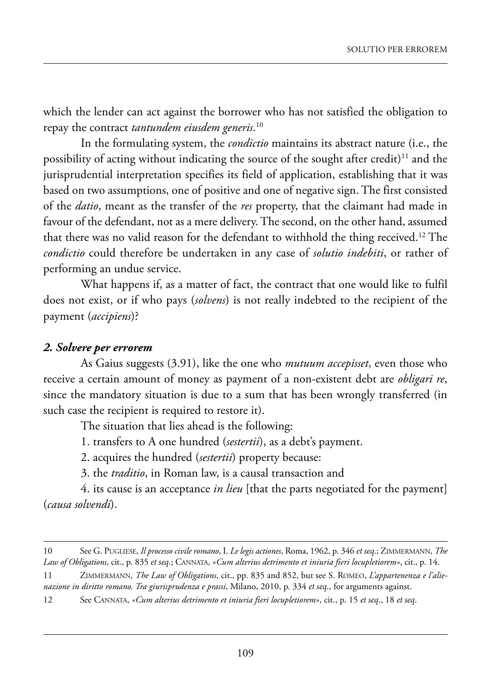which the lender can act against the borrower who has not satisfied the obligation to repay the contract *tantundem eiusdem generis*. 10

In the formulating system, the *condictio* maintains its abstract nature (i.e., the possibility of acting without indicating the source of the sought after credit) $^{11}$  and the jurisprudential interpretation specifies its field of application, establishing that it was based on two assumptions, one of positive and one of negative sign. The first consisted of the *datio*, meant as the transfer of the *res* property, that the claimant had made in favour of the defendant, not as a mere delivery. The second, on the other hand, assumed that there was no valid reason for the defendant to withhold the thing received.<sup>12</sup> The *condictio* could therefore be undertaken in any case of *solutio indebiti*, or rather of performing an undue service.

what happens if, as a matter of fact, the contract that one would like to fulfil does not exist, or if who pays (*solvens*) is not really indebted to the recipient of the payment (*accipiens*)?

#### *2. Solvere per errorem*

as Gaius suggests (3.91), like the one who *mutuum accepisset*, even those who receive a certain amount of money as payment of a non-existent debt are *obligari re*, since the mandatory situation is due to a sum that has been wrongly transferred (in such case the recipient is required to restore it).

The situation that lies ahead is the following:

1. transfers to A one hundred (sestertii), as a debt's payment.

2. acquires the hundred (*sestertii*) property because:

3. the *traditio*, in Roman law, is a causal transaction and

4. its cause is an acceptance *in lieu* [that the parts negotiated for the payment] (*causa solvendi*).

<sup>10</sup> see G. puGliese, *Il processo civile romano*, i. *Le legis actiones*, roma, 1962, p. 346 *et seq*.; Zimmermann, *The Law of Obligations*, cit., p. 835 *et seq*.; Cannata, *«Cum alterius detrimento et iniuria fieri locupletiorem»*, cit., p. 14.

<sup>11</sup> Zimmermann, *The Law of Obligations*, cit., pp. 835 and 852, but see s. romeo, *L'appartenenza e l'alienazione in diritto romano. Tra giurisprudenza e prassi*, milano, 2010, p. 334 *et seq*., for arguments against.

<sup>12</sup> see Cannata, *«Cum alterius detrimento et iniuria fieri locupletiorem»*, cit., p. 15 *et seq*., 18 *et seq*.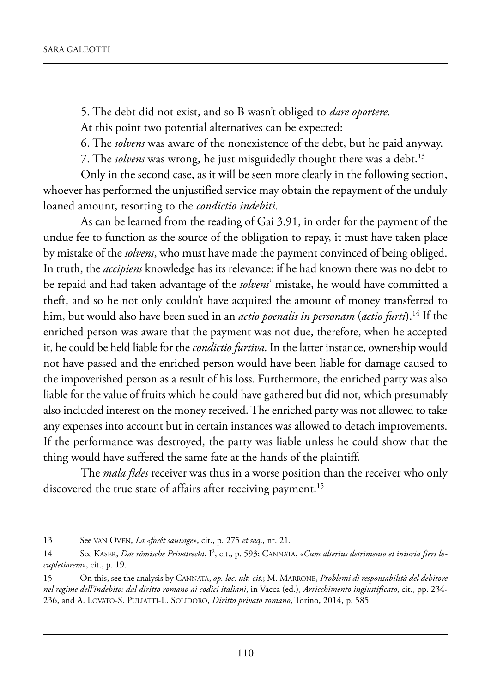5. the debt did not exist, and so B wasn't obliged to *dare oportere*.

At this point two potential alternatives can be expected:

6. the *solvens* was aware of the nonexistence of the debt, but he paid anyway.

7. The *solvens* was wrong, he just misguidedly thought there was a debt.<sup>13</sup>

Only in the second case, as it will be seen more clearly in the following section, whoever has performed the unjustified service may obtain the repayment of the unduly loaned amount, resorting to the *condictio indebiti*.

As can be learned from the reading of Gai 3.91, in order for the payment of the undue fee to function as the source of the obligation to repay, it must have taken place by mistake of the *solvens*, who must have made the payment convinced of being obliged. in truth, the *accipiens* knowledge has its relevance: if he had known there was no debt to be repaid and had taken advantage of the *solvens*' mistake, he would have committed a theft, and so he not only couldn't have acquired the amount of money transferred to him, but would also have been sued in an *actio poenalis in personam* (*actio furti*).14 if the enriched person was aware that the payment was not due, therefore, when he accepted it, he could be held liable for the *condictio furtiva*. In the latter instance, ownership would not have passed and the enriched person would have been liable for damage caused to the impoverished person as a result of his loss. furthermore, the enriched party was also liable for the value of fruits which he could have gathered but did not, which presumably also included interest on the money received. The enriched party was not allowed to take any expenses into account but in certain instances was allowed to detach improvements. If the performance was destroyed, the party was liable unless he could show that the thing would have suffered the same fate at the hands of the plaintiff.

The *mala fides* receiver was thus in a worse position than the receiver who only discovered the true state of affairs after receiving payment.<sup>15</sup>

<sup>13</sup> See VAN OVEN, *La «forêt sauvage»*, cit., p. 275 *et seq.*, nt. 21.

<sup>14</sup> See KASER, *Das römische Privatrecht*, I<sup>2</sup>, cit., p. 593; CANNATA, «Cum alterius detrimento et iniuria fieri lo*cupletiorem»*, cit., p. 19.

<sup>15</sup> on this, see the analysis by Cannata, *op. loc. ult. cit*.; m. marrone, *Problemi di responsabilità del debitore nel regime dell'indebito: dal diritto romano ai codici italiani*, in Vacca (ed.), *Arricchimento ingiustificato*, cit., pp. 234- 236, and a. loVato-s. puliatti-l. solidoro, *Diritto privato romano*, torino, 2014, p. 585.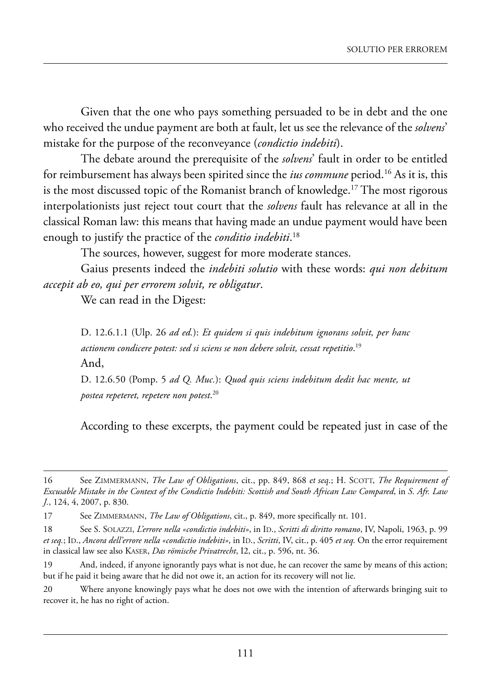Given that the one who pays something persuaded to be in debt and the one who received the undue payment are both at fault, let us see the relevance of the *solvens*' mistake for the purpose of the reconveyance (*condictio indebiti*).

the debate around the prerequisite of the *solvens*' fault in order to be entitled for reimbursement has always been spirited since the *ius commune* period.<sup>16</sup> As it is, this is the most discussed topic of the Romanist branch of knowledge.<sup>17</sup> The most rigorous interpolationists just reject tout court that the *solvens* fault has relevance at all in the classical Roman law: this means that having made an undue payment would have been enough to justify the practice of the *conditio indebiti*. 18

The sources, however, suggest for more moderate stances.

Gaius presents indeed the *indebiti solutio* with these words: *qui non debitum accepit ab eo, qui per errorem solvit, re obligatur*.

We can read in the Digest:

D. 12.6.1.1 (Ulp. 26 *ad ed.*): *Et quidem si quis indebitum ignorans solvit, per hanc actionem condicere potest: sed si sciens se non debere solvit, cessat repetitio*. 19 And.

D. 12.6.50 (Pomp. 5 *ad Q. Muc.*): *Quod quis sciens indebitum dedit hac mente, ut postea repeteret, repetere non potest*. 20

According to these excerpts, the payment could be repeated just in case of the

<sup>16</sup> see Zimmermann, *The Law of Obligations*, cit., pp. 849, 868 *et seq*.; h. sCott, *The Requirement of Excusable Mistake in the Context of the Condictio Indebiti: Scottish and South African Law Compared*, in *S. Afr. Law J.*, 124, 4, 2007, p. 830.

<sup>17</sup> See ZIMMERMANN, *The Law of Obligations*, cit., p. 849, more specifically nt. 101.

<sup>18</sup> See S. SOLAZZI, *L'errore nella «condictio indebiti»*, in ID., *Scritti di diritto romano*, IV, Napoli, 1963, p. 99 *et seq.*; ID., *Ancora dell'errore nella «condictio indebiti»*, in ID., *Scritti*, IV, cit., p. 405 *et seq.* On the error requirement in classical law see also kaser, *Das römische Privatrecht*, i2, cit., p. 596, nt. 36.

<sup>19</sup> And, indeed, if anyone ignorantly pays what is not due, he can recover the same by means of this action; but if he paid it being aware that he did not owe it, an action for its recovery will not lie.

<sup>20</sup> where anyone knowingly pays what he does not owe with the intention of afterwards bringing suit to recover it, he has no right of action.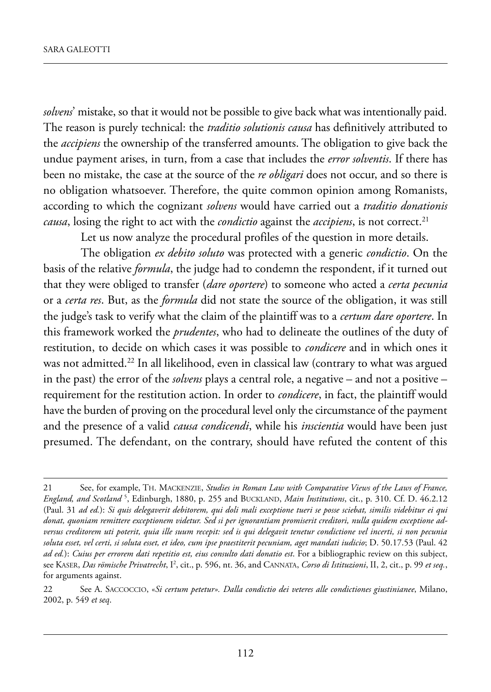*solvens*' mistake, so that it would not be possible to give back what was intentionally paid. the reason is purely technical: the *traditio solutionis causa* has definitively attributed to the *accipiens* the ownership of the transferred amounts. The obligation to give back the undue payment arises, in turn, from a case that includes the *error solventis*. if there has been no mistake, the case at the source of the *re obligari* does not occur, and so there is no obligation whatsoever. Therefore, the quite common opinion among Romanists, according to which the cognizant *solvens* would have carried out a *traditio donationis causa*, losing the right to act with the *condictio* against the *accipiens*, is not correct.<sup>21</sup>

Let us now analyze the procedural profiles of the question in more details.

The obligation *ex debito soluto* was protected with a generic *condictio*. On the basis of the relative *formula*, the judge had to condemn the respondent, if it turned out that they were obliged to transfer (*dare oportere*) to someone who acted a *certa pecunia* or a *certa res*. But, as the *formula* did not state the source of the obligation, it was still the judge's task to verify what the claim of the plaintiff was to a *certum dare oportere*. in this framework worked the *prudentes*, who had to delineate the outlines of the duty of restitution, to decide on which cases it was possible to *condicere* and in which ones it was not admitted.<sup>22</sup> In all likelihood, even in classical law (contrary to what was argued in the past) the error of the *solvens* plays a central role, a negative – and not a positive – requirement for the restitution action. In order to *condicere*, in fact, the plaintiff would have the burden of proving on the procedural level only the circumstance of the payment and the presence of a valid *causa condicendi*, while his *inscientia* would have been just presumed. The defendant, on the contrary, should have refuted the content of this

<sup>21</sup> see, for example, th. maCkenZie, *Studies in Roman Law with Comparative Views of the Laws of France, England, and Scotland* <sup>5</sup>, Edinburgh, 1880, p. 255 and BUCKLAND, *Main Institutions*, cit., p. 310. Cf. D. 46.2.12 (paul. 31 *ad ed.*): *Si quis delegaverit debitorem, qui doli mali exceptione tueri se posse sciebat, similis videbitur ei qui donat, quoniam remittere exceptionem videtur. Sed si per ignorantiam promiserit creditori, nulla quidem exceptione adversus creditorem uti poterit, quia ille suum recepit: sed is qui delegavit tenetur condictione vel incerti, si non pecunia* soluta esset, vel certi, si soluta esset, et ideo, cum ipse praestiterit pecuniam, aget mandati iudicio; D. 50.17.53 (Paul. 42 *ad ed.*): *Cuius per errorem dati repetitio est, eius consulto dati donatio est*. for a bibliographic review on this subject, see kaser, *Das römische Privatrecht*, i2 , cit., p. 596, nt. 36, and Cannata, *Corso di Istituzioni*, ii, 2, cit., p. 99 *et seq.*, for arguments against.

<sup>22</sup> see a. saCCoCCio, «*Si certum petetur». Dalla condictio dei veteres alle condictiones giustinianee*, milano, 2002, p. 549 *et seq*.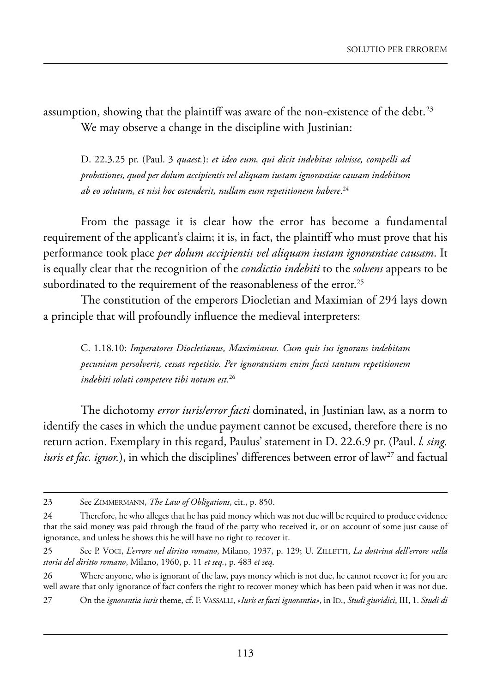assumption, showing that the plaintiff was aware of the non-existence of the debt.<sup>23</sup> We may observe a change in the discipline with Justinian:

d. 22.3.25 pr. (paul. 3 *quaest.*): *et ideo eum, qui dicit indebitas solvisse, compelli ad probationes, quod per dolum accipientis vel aliquam iustam ignorantiae causam indebitum ab eo solutum, et nisi hoc ostenderit, nullam eum repetitionem habere*. 24

from the passage it is clear how the error has become a fundamental requirement of the applicant's claim; it is, in fact, the plaintiff who must prove that his performance took place *per dolum accipientis vel aliquam iustam ignorantiae causam*. it is equally clear that the recognition of the *condictio indebiti* to the *solvens* appears to be subordinated to the requirement of the reasonableness of the error.<sup>25</sup>

The constitution of the emperors Diocletian and Maximian of 294 lays down a principle that will profoundly influence the medieval interpreters:

C. 1.18.10: *Imperatores Diocletianus, Maximianus. Cum quis ius ignorans indebitam pecuniam persolverit, cessat repetitio. Per ignorantiam enim facti tantum repetitionem indebiti soluti competere tibi notum est*. 26

the dichotomy *error iuris/error facti* dominated, in Justinian law, as a norm to identify the cases in which the undue payment cannot be excused, therefore there is no return action. Exemplary in this regard, Paulus' statement in D. 22.6.9 pr. (Paul. *l. sing. iuris et fac. ignor.*), in which the disciplines' differences between error of law<sup>27</sup> and factual

<sup>23</sup> See ZIMMERMANN, *The Law of Obligations*, cit., p. 850.

<sup>24</sup> Therefore, he who alleges that he has paid money which was not due will be required to produce evidence that the said money was paid through the fraud of the party who received it, or on account of some just cause of ignorance, and unless he shows this he will have no right to recover it.

<sup>25</sup> see p. VoCi, *L'errore nel diritto romano*, milano, 1937, p. 129; u. Zilletti, *La dottrina dell'errore nella storia del diritto romano*, milano, 1960, p. 11 *et seq.*, p. 483 *et seq*.

<sup>26</sup> where anyone, who is ignorant of the law, pays money which is not due, he cannot recover it; for you are well aware that only ignorance of fact confers the right to recover money which has been paid when it was not due.

<sup>27</sup> on the *ignorantia iuris* theme, cf. f. Vassalli, *«Iuris et facti ignorantia»*, in id., *Studi giuridici*, iii, 1. *Studi di*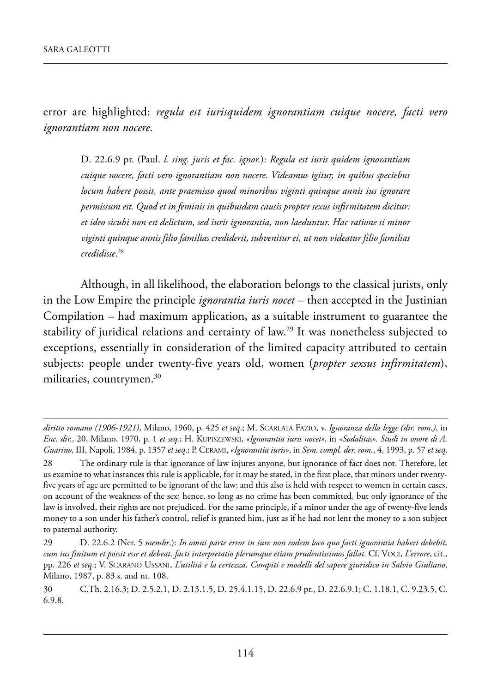error are highlighted: *regula est iurisquidem ignorantiam cuique nocere, facti vero ignorantiam non nocere*.

d. 22.6.9 pr. (paul. *l. sing. juris et fac. ignor.*): *Regula est iuris quidem ignorantiam cuique nocere, facti vero ignorantiam non nocere. Videamus igitur, in quibus speciebus locum habere possit, ante praemisso quod minoribus viginti quinque annis ius ignorare permissum est. Quod et in feminis in quibusdam causis propter sexus infirmitatem dicitur: et ideo sicubi non est delictum, sed iuris ignorantia, non laeduntur. Hac ratione si minor viginti quinque annis filio familias crediderit, subvenitur ei, ut non videatur filio familias credidisse*. 28

although, in all likelihood, the elaboration belongs to the classical jurists, only in the Low Empire the principle *ignorantia iuris nocet* – then accepted in the Justinian Compilation – had maximum application, as a suitable instrument to guarantee the stability of juridical relations and certainty of law.<sup>29</sup> It was nonetheless subjected to exceptions, essentially in consideration of the limited capacity attributed to certain subjects: people under twenty-five years old, women (*propter sexsus infirmitatem*), militaries, countrymen.<sup>30</sup>

*diritto romano (1906-1921)*, milano, 1960, p. 425 *et seq*.; m. sCarlata faZio, v. *Ignoranza della legge (dir. rom.)*, in *Enc. dir.*, 20, milano, 1970, p. 1 *et seq.*; h. kupisZewski, *«Ignorantia iuris nocet»*, in *«Sodalitas». Studi in onore di A. Guarino*, iii, napoli, 1984, p. 1357 *et seq*.; p. Cerami, *«Ignorantia iuris»*, in *Sem. compl. der. rom.*, 4, 1993, p. 57 *et seq*.

<sup>28</sup> The ordinary rule is that ignorance of law injures anyone, but ignorance of fact does not. Therefore, let us examine to what instances this rule is applicable, for it may be stated, in the first place, that minors under twentyfive years of age are permitted to be ignorant of the law; and this also is held with respect to women in certain cases, on account of the weakness of the sex; hence, so long as no crime has been committed, but only ignorance of the law is involved, their rights are not prejudiced. for the same principle, if a minor under the age of twenty-five lends money to a son under his father's control, relief is granted him, just as if he had not lent the money to a son subject to paternal authority.

<sup>29</sup> d. 22.6.2 (ner. 5 *membr*.): *In omni parte error in iure non eodem loco quo facti ignorantia haberi debebit, cum ius finitum et possit esse et debeat, facti interpretatio plerumque etiam prudentissimos fallat*. Cf. VoCi, *L'errore*, cit., pp. 226 *et seq*.; V. sCarano ussani, *L'utilità e la certezza. Compiti e modelli del sapere giuridico in Salvio Giuliano*, milano, 1987, p. 83 s. and nt. 108.

<sup>30</sup> C.Th. 2.16.3; D. 2.5.2.1, D. 2.13.1.5, D. 25.4.1.15, D. 22.6.9 pr., D. 22.6.9.1; C. 1.18.1, C. 9.23.5, C. 6.9.8.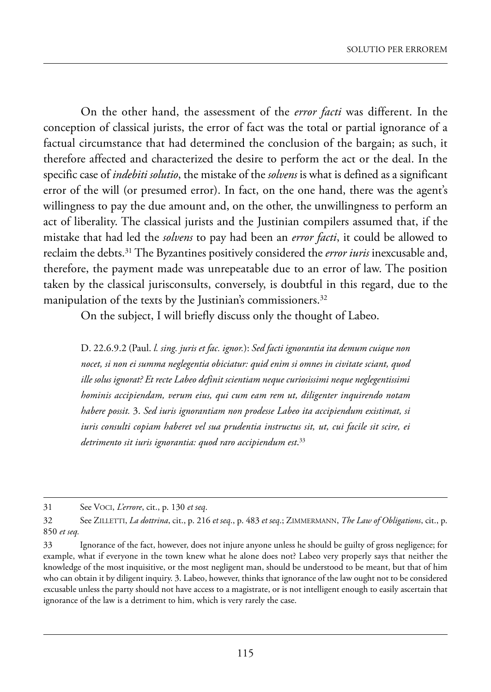On the other hand, the assessment of the *error facti* was different. In the conception of classical jurists, the error of fact was the total or partial ignorance of a factual circumstance that had determined the conclusion of the bargain; as such, it therefore affected and characterized the desire to perform the act or the deal. in the specific case of *indebiti solutio*, the mistake of the *solvens* is what is defined as a significant error of the will (or presumed error). in fact, on the one hand, there was the agent's willingness to pay the due amount and, on the other, the unwillingness to perform an act of liberality. The classical jurists and the Justinian compilers assumed that, if the mistake that had led the *solvens* to pay had been an *error facti*, it could be allowed to reclaim the debts.<sup>31</sup> The Byzantines positively considered the *error iuris* inexcusable and, therefore, the payment made was unrepeatable due to an error of law. The position taken by the classical jurisconsults, conversely, is doubtful in this regard, due to the manipulation of the texts by the Justinian's commissioners.<sup>32</sup>

On the subject, I will briefly discuss only the thought of Labeo.

d. 22.6.9.2 (paul. *l. sing. juris et fac. ignor.*): *Sed facti ignorantia ita demum cuique non nocet, si non ei summa neglegentia obiciatur: quid enim si omnes in civitate sciant, quod ille solus ignorat? Et recte Labeo definit scientiam neque curiosissimi neque neglegentissimi hominis accipiendam, verum eius, qui cum eam rem ut, diligenter inquirendo notam habere possit.* 3. *Sed iuris ignorantiam non prodesse Labeo ita accipiendum existimat, si iuris consulti copiam haberet vel sua prudentia instructus sit, ut, cui facile sit scire, ei detrimento sit iuris ignorantia: quod raro accipiendum est*. 33

<sup>31</sup> see VoCi, *L'errore*, cit., p. 130 *et seq*.

<sup>32</sup> see Zilletti, *La dottrina*, cit., p. 216 *et seq*., p. 483 *et seq*.; Zimmermann, *The Law of Obligations*, cit., p. 850 *et seq.*

<sup>33</sup> ignorance of the fact, however, does not injure anyone unless he should be guilty of gross negligence; for example, what if everyone in the town knew what he alone does not? labeo very properly says that neither the knowledge of the most inquisitive, or the most negligent man, should be understood to be meant, but that of him who can obtain it by diligent inquiry. 3. labeo, however, thinks that ignorance of the law ought not to be considered excusable unless the party should not have access to a magistrate, or is not intelligent enough to easily ascertain that ignorance of the law is a detriment to him, which is very rarely the case.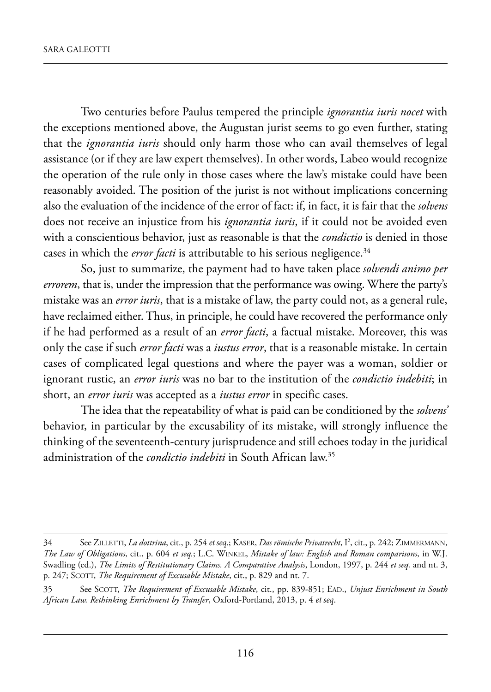two centuries before paulus tempered the principle *ignorantia iuris nocet* with the exceptions mentioned above, the Augustan jurist seems to go even further, stating that the *ignorantia iuris* should only harm those who can avail themselves of legal assistance (or if they are law expert themselves). in other words, labeo would recognize the operation of the rule only in those cases where the law's mistake could have been reasonably avoided. the position of the jurist is not without implications concerning also the evaluation of the incidence of the error of fact: if, in fact, it is fair that the *solvens* does not receive an injustice from his *ignorantia iuris*, if it could not be avoided even with a conscientious behavior, just as reasonable is that the *condictio* is denied in those cases in which the *error facti* is attributable to his serious negligence.<sup>34</sup>

so, just to summarize, the payment had to have taken place *solvendi animo per errorem*, that is, under the impression that the performance was owing. where the party's mistake was an *error iuris*, that is a mistake of law, the party could not, as a general rule, have reclaimed either. Thus, in principle, he could have recovered the performance only if he had performed as a result of an *error facti*, a factual mistake. moreover, this was only the case if such *error facti* was a *iustus error*, that is a reasonable mistake. in certain cases of complicated legal questions and where the payer was a woman, soldier or ignorant rustic, an *error iuris* was no bar to the institution of the *condictio indebiti*; in short, an *error iuris* was accepted as a *iustus error* in specific cases.

the idea that the repeatability of what is paid can be conditioned by the *solvens'* behavior, in particular by the excusability of its mistake, will strongly influence the thinking of the seventeenth-century jurisprudence and still echoes today in the juridical administration of the *condictio indebiti* in South African law.<sup>35</sup>

<sup>34</sup> See ZILLETTI, *La dottrina*, cit., p. 254 *et seq*.; KASER, *Das römische Privatrecht*, I<sup>2</sup>, cit., p. 242; ZIMMERMANN, *The Law of Obligations*, cit., p. 604 *et seq.*; l.C. winkel, *Mistake of law: English and Roman comparisons*, in w.J. swadling (ed.), *The Limits of Restitutionary Claims. A Comparative Analysis*, london, 1997, p. 244 *et seq.* and nt. 3, p. 247; SCOTT, *The Requirement of Excusable Mistake*, cit., p. 829 and nt. 7.

<sup>35</sup> see sCott, *The Requirement of Excusable Mistake*, cit., pp. 839-851; ead., *Unjust Enrichment in South African Law. Rethinking Enrichment by Transfer*, oxford-portland, 2013, p. 4 *et seq*.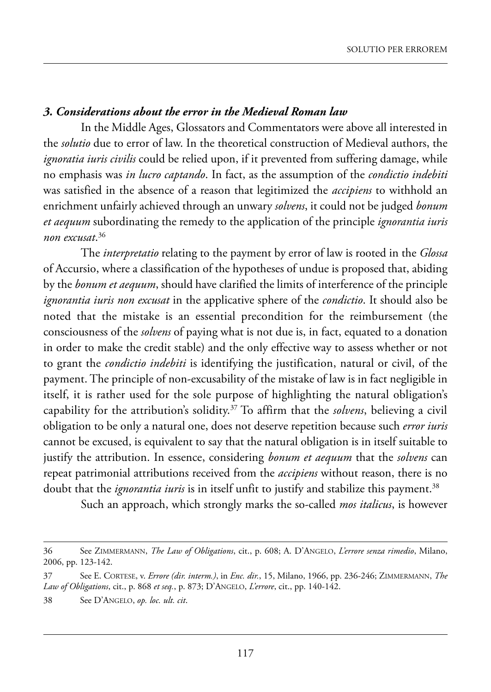### *3. Considerations about the error in the Medieval Roman law*

In the Middle Ages, Glossators and Commentators were above all interested in the *solutio* due to error of law. In the theoretical construction of Medieval authors, the *ignoratia iuris civilis* could be relied upon, if it prevented from suffering damage, while no emphasis was *in lucro captando*. in fact, as the assumption of the *condictio indebiti* was satisfied in the absence of a reason that legitimized the *accipiens* to withhold an enrichment unfairly achieved through an unwary *solvens*, it could not be judged *bonum et aequum* subordinating the remedy to the application of the principle *ignorantia iuris non excusat*. 36

the *interpretatio* relating to the payment by error of law is rooted in the *Glossa* of accursio, where a classification of the hypotheses of undue is proposed that, abiding by the *bonum et aequum*, should have clarified the limits of interference of the principle *ignorantia iuris non excusat* in the applicative sphere of the *condictio*. it should also be noted that the mistake is an essential precondition for the reimbursement (the consciousness of the *solvens* of paying what is not due is, in fact, equated to a donation in order to make the credit stable) and the only effective way to assess whether or not to grant the *condictio indebiti* is identifying the justification, natural or civil, of the payment. The principle of non-excusability of the mistake of law is in fact negligible in itself, it is rather used for the sole purpose of highlighting the natural obligation's capability for the attribution's solidity.37 to affirm that the *solvens*, believing a civil obligation to be only a natural one, does not deserve repetition because such *error iuris* cannot be excused, is equivalent to say that the natural obligation is in itself suitable to justify the attribution. In essence, considering *bonum et aequum* that the *solvens* can repeat patrimonial attributions received from the *accipiens* without reason, there is no doubt that the *ignorantia iuris* is in itself unfit to justify and stabilize this payment.<sup>38</sup>

such an approach, which strongly marks the so-called *mos italicus*, is however

<sup>36</sup> see Zimmermann, *The Law of Obligations*, cit., p. 608; a. d'anGelo, *L'errore senza rimedio*, milano, 2006, pp. 123-142.

<sup>37</sup> see e. Cortese, v. *Errore (dir. interm.)*, in *Enc. dir.*, 15, milano, 1966, pp. 236-246; Zimmermann, *The* Law of Obligations, cit., p. 868 et seq., p. 873; D'ANGELO, L'errore, cit., pp. 140-142.

<sup>38</sup> see d'anGelo, *op. loc. ult. cit*.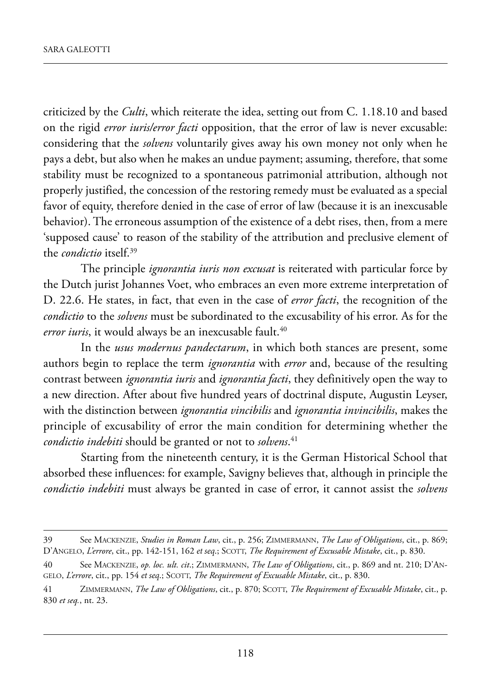criticized by the *Culti*, which reiterate the idea, setting out from C. 1.18.10 and based on the rigid *error iuris/error facti* opposition, that the error of law is never excusable: considering that the *solvens* voluntarily gives away his own money not only when he pays a debt, but also when he makes an undue payment; assuming, therefore, that some stability must be recognized to a spontaneous patrimonial attribution, although not properly justified, the concession of the restoring remedy must be evaluated as a special favor of equity, therefore denied in the case of error of law (because it is an inexcusable behavior). The erroneous assumption of the existence of a debt rises, then, from a mere 'supposed cause' to reason of the stability of the attribution and preclusive element of the *condictio* itself.39

the principle *ignorantia iuris non excusat* is reiterated with particular force by the Dutch jurist Johannes Voet, who embraces an even more extreme interpretation of D. 22.6. He states, in fact, that even in the case of *error facti*, the recognition of the *condictio* to the *solvens* must be subordinated to the excusability of his error. As for the error iuris, it would always be an inexcusable fault.<sup>40</sup>

In the *usus modernus pandectarum*, in which both stances are present, some authors begin to replace the term *ignorantia* with *error* and, because of the resulting contrast between *ignorantia iuris* and *ignorantia facti*, they definitively open the way to a new direction. After about five hundred years of doctrinal dispute, Augustin Leyser, with the distinction between *ignorantia vincibilis* and *ignorantia invincibilis*, makes the principle of excusability of error the main condition for determining whether the *condictio indebiti* should be granted or not to *solvens*. 41

Starting from the nineteenth century, it is the German Historical School that absorbed these influences: for example, savigny believes that, although in principle the *condictio indebiti* must always be granted in case of error, it cannot assist the *solvens*

<sup>39</sup> see maCkenZie, *Studies in Roman Law*, cit., p. 256; Zimmermann, *The Law of Obligations*, cit., p. 869; d'anGelo, *L'errore*, cit., pp. 142-151, 162 *et seq*.; sCott, *The Requirement of Excusable Mistake*, cit., p. 830.

<sup>40</sup> See MACKENZIE, *op. loc. ult. cit.*; ZIMMERMANN, *The Law of Obligations*, cit., p. 869 and nt. 210; D'AN-GELO, L'errore, cit., pp. 154 et seq.; SCOTT, The Requirement of Excusable Mistake, cit., p. 830.

<sup>41</sup> Zimmermann, *The Law of Obligations*, cit., p. 870; sCott, *The Requirement of Excusable Mistake*, cit., p. 830 *et seq.*, nt. 23.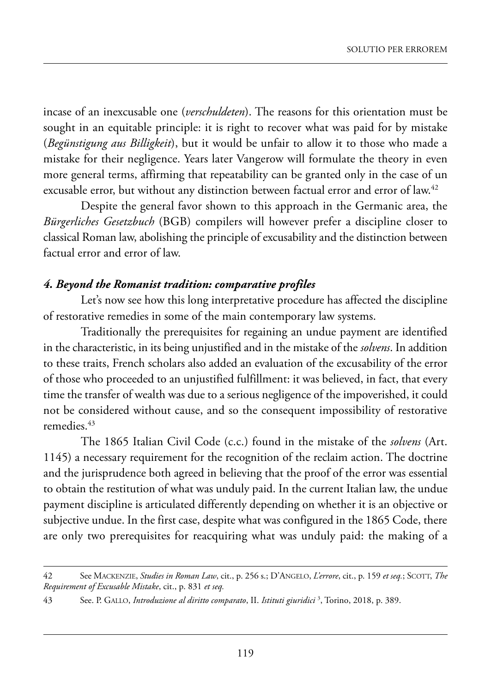incase of an inexcusable one (*verschuldeten*). the reasons for this orientation must be sought in an equitable principle: it is right to recover what was paid for by mistake (*Begünstigung aus Billigkeit*), but it would be unfair to allow it to those who made a mistake for their negligence. Years later Vangerow will formulate the theory in even more general terms, affirming that repeatability can be granted only in the case of un excusable error, but without any distinction between factual error and error of law.<sup>42</sup>

Despite the general favor shown to this approach in the Germanic area, the *Bürgerliches Gesetzbuch* (BGB) compilers will however prefer a discipline closer to classical Roman law, abolishing the principle of excusability and the distinction between factual error and error of law.

## *4. Beyond the Romanist tradition: comparative profiles*

Let's now see how this long interpretative procedure has affected the discipline of restorative remedies in some of the main contemporary law systems.

Traditionally the prerequisites for regaining an undue payment are identified in the characteristic, in its being unjustified and in the mistake of the *solvens*. In addition to these traits, french scholars also added an evaluation of the excusability of the error of those who proceeded to an unjustified fulfillment: it was believed, in fact, that every time the transfer of wealth was due to a serious negligence of the impoverished, it could not be considered without cause, and so the consequent impossibility of restorative remedies.<sup>43</sup>

The 1865 Italian Civil Code (c.c.) found in the mistake of the *solvens* (Art. 1145) a necessary requirement for the recognition of the reclaim action. The doctrine and the jurisprudence both agreed in believing that the proof of the error was essential to obtain the restitution of what was unduly paid. In the current Italian law, the undue payment discipline is articulated differently depending on whether it is an objective or subjective undue. In the first case, despite what was configured in the 1865 Code, there are only two prerequisites for reacquiring what was unduly paid: the making of a

<sup>42</sup> see maCkenZie, *Studies in Roman Law*, cit., p. 256 s.; d'anGelo, *L'errore*, cit., p. 159 *et seq.*; sCott, *The Requirement of Excusable Mistake*, cit., p. 831 *et seq.*

<sup>43</sup> see. p. Gallo, *Introduzione al diritto comparato*, ii. *Istituti giuridici* <sup>3</sup> , torino, 2018, p. 389.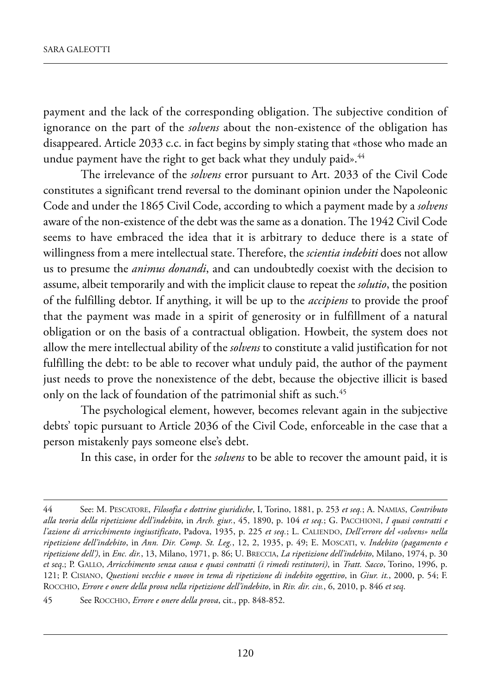payment and the lack of the corresponding obligation. The subjective condition of ignorance on the part of the *solvens* about the non-existence of the obligation has disappeared. Article 2033 c.c. in fact begins by simply stating that «those who made an undue payment have the right to get back what they unduly paid».<sup>44</sup>

The irrelevance of the *solvens* error pursuant to Art. 2033 of the Civil Code constitutes a significant trend reversal to the dominant opinion under the Napoleonic Code and under the 1865 Civil Code, according to which a payment made by a *solvens* aware of the non-existence of the debt was the same as a donation. The 1942 Civil Code seems to have embraced the idea that it is arbitrary to deduce there is a state of willingness from a mere intellectual state. Therefore, the *scientia indebiti* does not allow us to presume the *animus donandi*, and can undoubtedly coexist with the decision to assume, albeit temporarily and with the implicit clause to repeat the *solutio*, the position of the fulfilling debtor. if anything, it will be up to the *accipiens* to provide the proof that the payment was made in a spirit of generosity or in fulfillment of a natural obligation or on the basis of a contractual obligation. howbeit, the system does not allow the mere intellectual ability of the *solvens* to constitute a valid justification for not fulfilling the debt: to be able to recover what unduly paid, the author of the payment just needs to prove the nonexistence of the debt, because the objective illicit is based only on the lack of foundation of the patrimonial shift as such.<sup>45</sup>

The psychological element, however, becomes relevant again in the subjective debts' topic pursuant to Article 2036 of the Civil Code, enforceable in the case that a person mistakenly pays someone else's debt.

In this case, in order for the *solvens* to be able to recover the amount paid, it is

<sup>44</sup> see: m. pesCatore, *Filosofia e dottrine giuridiche*, i, torino, 1881, p. 253 *et seq.*; a. namias, *Contributo alla teoria della ripetizione dell'indebito*, in *Arch. giur.*, 45, 1890, p. 104 *et seq.*; G. paCChioni, *I quasi contratti e l'azione di arricchimento ingiustificato*, padova, 1935, p. 225 *et seq.*; l. Caliendo, *Dell'errore del «solvens» nella ripetizione dell'indebito*, in *Ann. Dir. Comp. St. Leg.*, 12, 2, 1935, p. 49; e. mosCati, v. *Indebito (pagamento e ripetizione dell')*, in *Enc. dir.*, 13, milano, 1971, p. 86; u. BreCCia, *La ripetizione dell'indebito*, milano, 1974, p. 30 *et seq*.; p. Gallo, *Arricchimento senza causa e quasi contratti (i rimedi restitutori)*, in *Tratt. Sacco*, torino, 1996, p. 121; p. Cisiano, *Questioni vecchie e nuove in tema di ripetizione di indebito oggettivo*, in *Giur. it.*, 2000, p. 54; f. roCChio, *Errore e onere della prova nella ripetizione dell'indebito*, in *Riv. dir. civ.*, 6, 2010, p. 846 *et seq*.

<sup>45</sup> see roCChio, *Errore e onere della prova*, cit., pp. 848-852.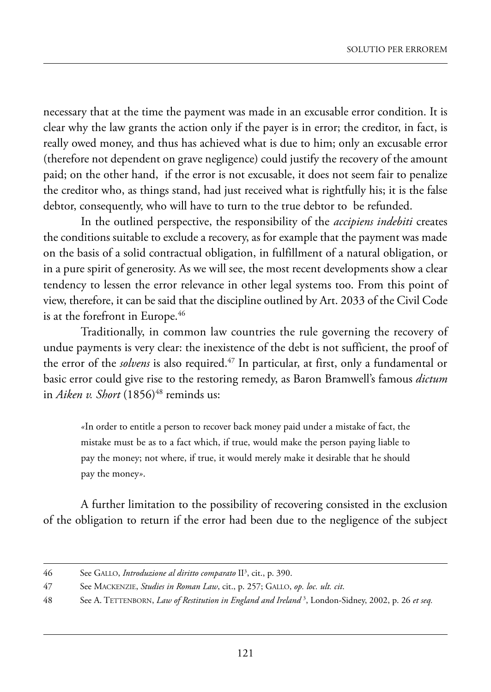necessary that at the time the payment was made in an excusable error condition. it is clear why the law grants the action only if the payer is in error; the creditor, in fact, is really owed money, and thus has achieved what is due to him; only an excusable error (therefore not dependent on grave negligence) could justify the recovery of the amount paid; on the other hand, if the error is not excusable, it does not seem fair to penalize the creditor who, as things stand, had just received what is rightfully his; it is the false debtor, consequently, who will have to turn to the true debtor to be refunded.

in the outlined perspective, the responsibility of the *accipiens indebiti* creates the conditions suitable to exclude a recovery, as for example that the payment was made on the basis of a solid contractual obligation, in fulfillment of a natural obligation, or in a pure spirit of generosity. As we will see, the most recent developments show a clear tendency to lessen the error relevance in other legal systems too. from this point of view, therefore, it can be said that the discipline outlined by Art. 2033 of the Civil Code is at the forefront in Europe.<sup>46</sup>

Traditionally, in common law countries the rule governing the recovery of undue payments is very clear: the inexistence of the debt is not sufficient, the proof of the error of the *solvens* is also required.<sup>47</sup> In particular, at first, only a fundamental or basic error could give rise to the restoring remedy, as Baron Bramwell's famous *dictum* in *Aiken v. Short* (1856)<sup>48</sup> reminds us:

*«*in order to entitle a person to recover back money paid under a mistake of fact, the mistake must be as to a fact which, if true, would make the person paying liable to pay the money; not where, if true, it would merely make it desirable that he should pay the money*»*.

a further limitation to the possibility of recovering consisted in the exclusion of the obligation to return if the error had been due to the negligence of the subject

<sup>46</sup> See GALLO, *Introduzione al diritto comparato* II<sup>3</sup>, cit., p. 390.

<sup>47</sup> see maCkenZie, *Studies in Roman Law*, cit., p. 257; Gallo, *op. loc. ult. cit*.

<sup>48</sup> see a. tettenBorn, *Law of Restitution in England and Ireland* <sup>3</sup> , london-sidney, 2002, p. 26 *et seq.*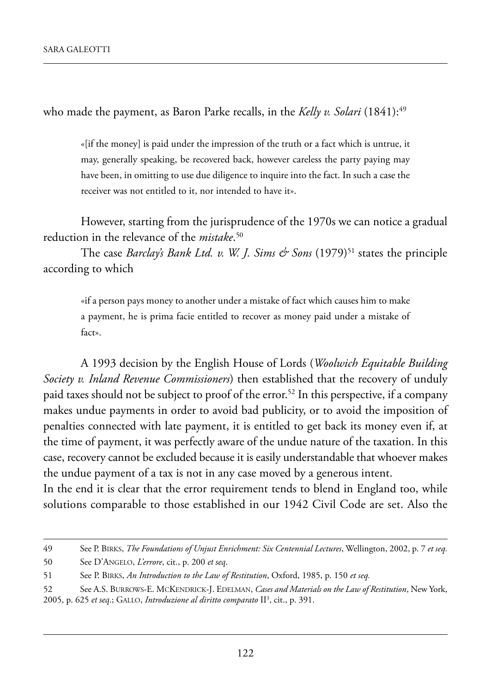who made the payment, as Baron Parke recalls, in the *Kelly v. Solari* (1841):<sup>49</sup>

«[if the money] is paid under the impression of the truth or a fact which is untrue, it may, generally speaking, be recovered back, however careless the party paying may have been, in omitting to use due diligence to inquire into the fact. In such a case the receiver was not entitled to it, nor intended to have it».

however, starting from the jurisprudence of the 1970s we can notice a gradual reduction in the relevance of the *mistake*. 50

The case *Barclay's Bank Ltd. v. W. J. Sims & Sons* (1979)<sup>51</sup> states the principle according to which

«if a person pays money to another under a mistake of fact which causes him to make a payment, he is prima facie entitled to recover as money paid under a mistake of fact».

a 1993 decision by the english house of lords (*Woolwich Equitable Building Society v. Inland Revenue Commissioners*) then established that the recovery of unduly paid taxes should not be subject to proof of the error.<sup>52</sup> In this perspective, if a company makes undue payments in order to avoid bad publicity, or to avoid the imposition of penalties connected with late payment, it is entitled to get back its money even if, at the time of payment, it was perfectly aware of the undue nature of the taxation. In this case, recovery cannot be excluded because it is easily understandable that whoever makes the undue payment of a tax is not in any case moved by a generous intent.

In the end it is clear that the error requirement tends to blend in England too, while solutions comparable to those established in our 1942 Civil Code are set. Also the

<sup>49</sup> see p. Birks, *The Foundations of Unjust Enrichment: Six Centennial Lectures*, wellington, 2002, p. 7 *et seq.*

<sup>50</sup> see d'anGelo, *L'errore*, cit., p. 200 *et seq*.

<sup>51</sup> See P. BIRKS, *An Introduction to the Law of Restitution*, Oxford, 1985, p. 150 *et seq.* 

<sup>52</sup> See A.S. BURROWS-E. MCKENDRICK-J. EDELMAN, *Cases and Materials on the Law of Restitution*, New York, 2005, p. 625 et seq.; GALLO, *Introduzione al diritto comparato* II<sup>3</sup>, cit., p. 391.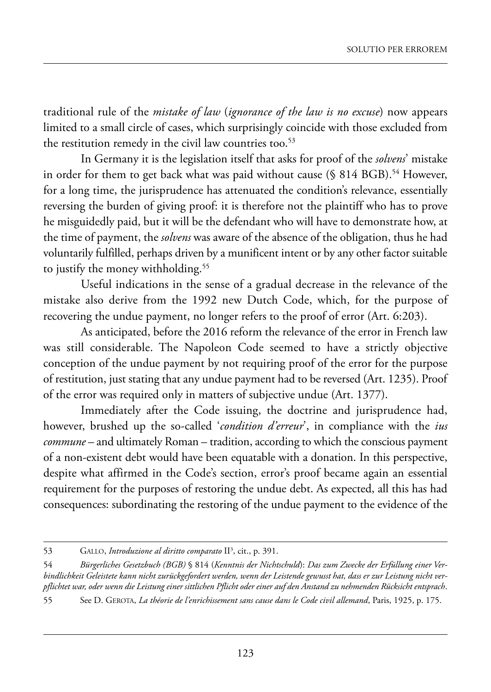traditional rule of the *mistake of law* (*ignorance of the law is no excuse*) now appears limited to a small circle of cases, which surprisingly coincide with those excluded from the restitution remedy in the civil law countries too.<sup>53</sup>

in Germany it is the legislation itself that asks for proof of the *solvens*' mistake in order for them to get back what was paid without cause  $(\S 814 BGB)$ .<sup>54</sup> However, for a long time, the jurisprudence has attenuated the condition's relevance, essentially reversing the burden of giving proof: it is therefore not the plaintiff who has to prove he misguidedly paid, but it will be the defendant who will have to demonstrate how, at the time of payment, the *solvens* was aware of the absence of the obligation, thus he had voluntarily fulfilled, perhaps driven by a munificent intent or by any other factor suitable to justify the money withholding.<sup>55</sup>

Useful indications in the sense of a gradual decrease in the relevance of the mistake also derive from the 1992 new Dutch Code, which, for the purpose of recovering the undue payment, no longer refers to the proof of error (Art. 6:203).

As anticipated, before the 2016 reform the relevance of the error in French law was still considerable. The Napoleon Code seemed to have a strictly objective conception of the undue payment by not requiring proof of the error for the purpose of restitution, just stating that any undue payment had to be reversed (Art. 1235). Proof of the error was required only in matters of subjective undue (Art. 1377).

Immediately after the Code issuing, the doctrine and jurisprudence had, however, brushed up the so-called '*condition d'erreur*', in compliance with the *ius commune* – and ultimately Roman – tradition, according to which the conscious payment of a non-existent debt would have been equatable with a donation. in this perspective, despite what affirmed in the Code's section, error's proof became again an essential requirement for the purposes of restoring the undue debt. As expected, all this has had consequences: subordinating the restoring of the undue payment to the evidence of the

<sup>53</sup> GALLO, *Introduzione al diritto comparato* II<sup>3</sup>, cit., p. 391.

<sup>54</sup> *Bürgerliches Gesetzbuch (BGB)* § 814 (*Kenntnis der Nichtschuld*): *Das zum Zwecke der Erfüllung einer Verbindlichkeit Geleistete kann nicht zurückgefordert werden, wenn der Leistende gewusst hat, dass er zur Leistung nicht verpflichtet war, oder wenn die Leistung einer sittlichen Pflicht oder einer auf den Anstand zu nehmenden Rücksicht entsprach*.

<sup>55</sup> see d. Gerota, *La théorie de l'enrichissement sans cause dans le Code civil allemand*, paris, 1925, p. 175.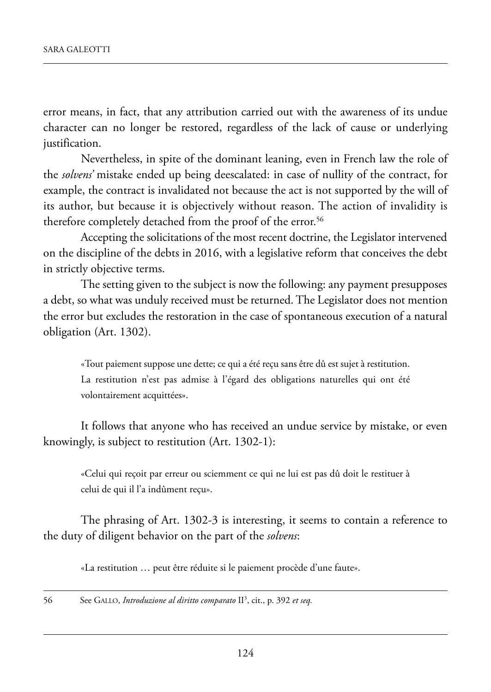error means, in fact, that any attribution carried out with the awareness of its undue character can no longer be restored, regardless of the lack of cause or underlying justification.

Nevertheless, in spite of the dominant leaning, even in French law the role of the *solvens'* mistake ended up being deescalated: in case of nullity of the contract, for example, the contract is invalidated not because the act is not supported by the will of its author, but because it is objectively without reason. The action of invalidity is therefore completely detached from the proof of the error.<sup>56</sup>

Accepting the solicitations of the most recent doctrine, the Legislator intervened on the discipline of the debts in 2016, with a legislative reform that conceives the debt in strictly objective terms.

The setting given to the subject is now the following: any payment presupposes a debt, so what was unduly received must be returned. the legislator does not mention the error but excludes the restoration in the case of spontaneous execution of a natural obligation (Art. 1302).

«Tout paiement suppose une dette; ce qui a été reçu sans être dû est sujet à restitution. La restitution n'est pas admise à l'égard des obligations naturelles qui ont été volontairement acquittées».

It follows that anyone who has received an undue service by mistake, or even knowingly, is subject to restitution  $(Art. 1302-1)$ :

«Celui qui reçoit par erreur ou sciemment ce qui ne lui est pas dû doit le restituer à celui de qui il l'a indûment reçu».

The phrasing of Art. 1302-3 is interesting, it seems to contain a reference to the duty of diligent behavior on the part of the *solvens*:

«la restitution … peut être réduite si le paiement procède d'une faute».

56 See GALLO, *Introduzione al diritto comparato* II<sup>3</sup>, cit., p. 392 *et seq.*